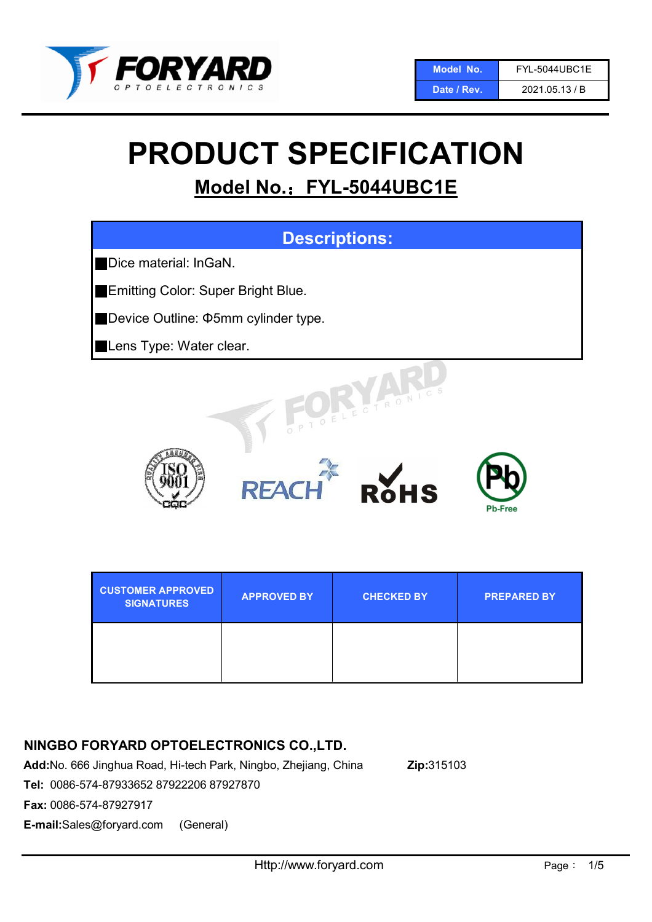

#### Date / Rev. 2021.05.13 / B

# PRODUCT SPECIFICATION

## Model No.: FYL-5044UBC1E



| <b>CUSTOMER APPROVED</b><br><b>SIGNATURES</b> | <b>APPROVED BY</b> | <b>CHECKED BY</b> | <b>PREPARED BY</b> |
|-----------------------------------------------|--------------------|-------------------|--------------------|
|                                               |                    |                   |                    |

### NINGBO FORYARD OPTOELECTRONICS CO.,LTD.

Add:No. 666 Jinghua Road, Hi-tech Park, Ningbo, Zhejiang, China Zip:315103 Tel: 0086-574-87933652 87922206 87927870

Fax: 0086-574-87927917

E-mail:Sales@foryard.com (General)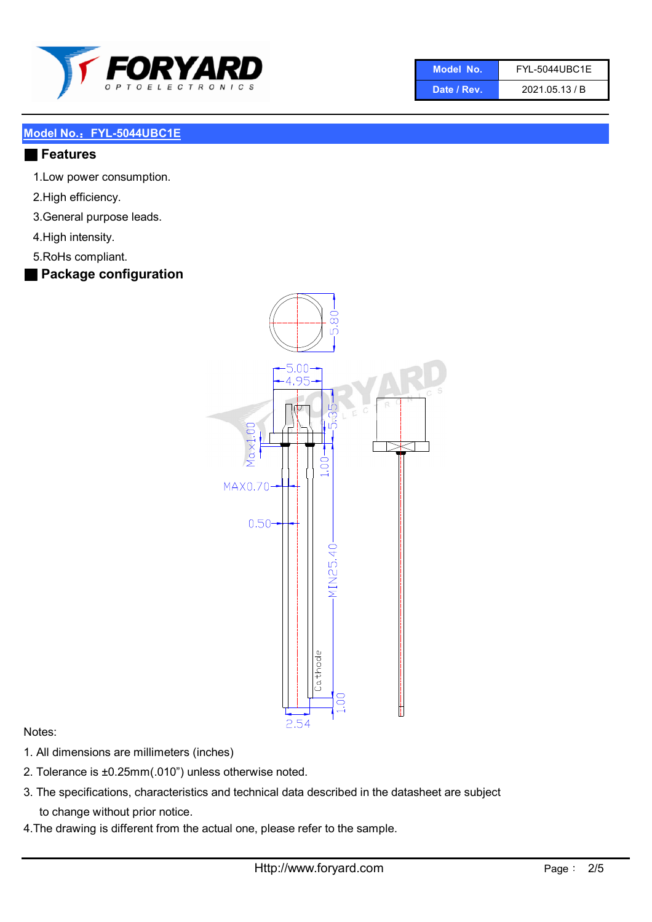

| Model No.   | <b>FYL-5044UBC1E</b> |
|-------------|----------------------|
| Date / Rev. | 2021.05.13 / B       |

#### ■ Features

- 1.Low power consumption.
- 2.High efficiency.
- 3.General purpose leads.
- 4.High intensity.
- 5.RoHs compliant.
- Package configuration



#### Notes:

- 1. All dimensions are millimeters (inches)
- 2. Tolerance is ±0.25mm(.010") unless otherwise noted.
- 3. The specifications, characteristics and technical data described in the datasheet are subject to change without prior notice.
- 4.The drawing is different from the actual one, please refer to the sample.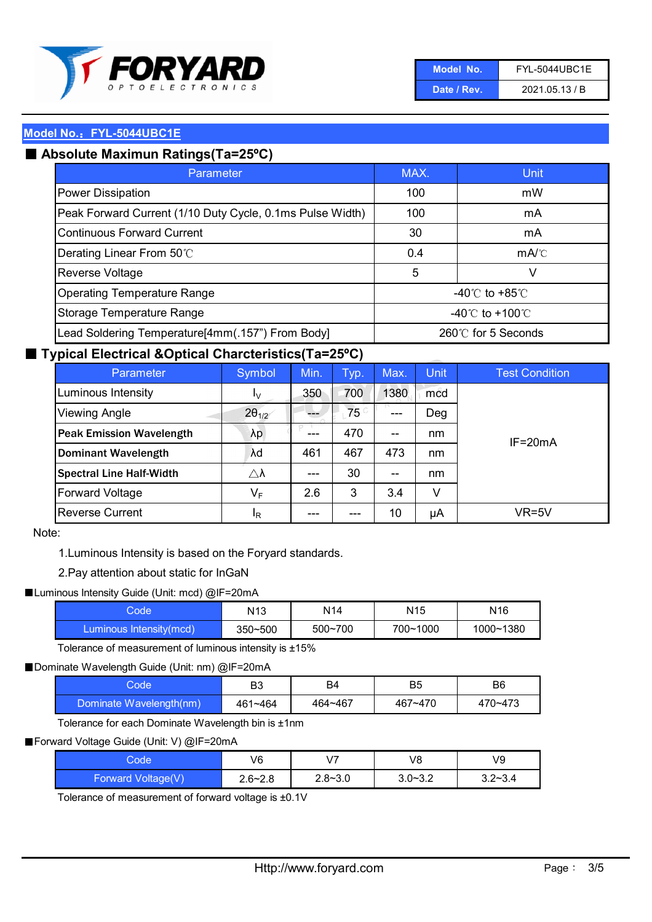

| Model No.   | <b>FYL-5044UBC1E</b> |
|-------------|----------------------|
| Date / Rev. | 2021.05.13 / B       |

## ■ Absolute Maximun Ratings(Ta=25°C)

| Parameter                                                 | MAX.               | Unit                                 |
|-----------------------------------------------------------|--------------------|--------------------------------------|
| Power Dissipation                                         | 100                | mW                                   |
| Peak Forward Current (1/10 Duty Cycle, 0.1ms Pulse Width) | 100                | mA                                   |
| Continuous Forward Current                                | 30                 | mA                                   |
| Derating Linear From 50°C                                 | 0.4                | $mA$ <sup><math>\circ</math></sup> C |
| Reverse Voltage                                           | 5                  | v                                    |
| <b>Operating Temperature Range</b>                        |                    | $-40^{\circ}$ C to $+85^{\circ}$ C   |
| Storage Temperature Range                                 | -40°C to +100°C.   |                                      |
| Lead Soldering Temperature[4mm(.157") From Body]          | 260℃ for 5 Seconds |                                      |

#### ■ Typical Electrical &Optical Charcteristics(Ta=25°C)

| Parameter                       | Symbol                  | Min.  | Typ.       | Max.                                  | <b>Unit</b> | <b>Test Condition</b> |
|---------------------------------|-------------------------|-------|------------|---------------------------------------|-------------|-----------------------|
| Luminous Intensity              | I <sub>V</sub>          | 350   | 700        | 1380                                  | mcd         |                       |
| <b>Viewing Angle</b>            | $2\theta_{1/2}$         |       | $75^\circ$ |                                       | Deg         |                       |
| <b>Peak Emission Wavelength</b> | λp                      | ---   | 470        | $- -$                                 | nm          | $IF = 20mA$           |
| <b>Dominant Wavelength</b>      | λd                      | 461   | 467        | 473                                   | nm          |                       |
| <b>Spectral Line Half-Width</b> | $\triangle \lambda$     | $---$ | 30         | $\hspace{0.05cm}$ – $\hspace{0.05cm}$ | nm          |                       |
| <b>Forward Voltage</b>          | $\mathsf{V}_\mathsf{F}$ | 2.6   | 3          | 3.4                                   | v           |                       |
| <b>Reverse Current</b>          | <sup>I</sup> R          | ---   |            | 10                                    | μA          | VR=5V                 |

#### Note:

1.Luminous Intensity is based on the Foryard standards.

#### 2.Pay attention about static for InGaN

#### ■Luminous Intensity Guide (Unit: mcd) @IF=20mA

| Code                    | N <sub>13</sub> | N14         | N <sub>15</sub> | N <sub>16</sub> |
|-------------------------|-----------------|-------------|-----------------|-----------------|
| Luminous Intensity(mcd) | $350 - 500$     | $500 - 700$ | 700~1000        | 1000~1380       |

Tolerance of measurement of luminous intensity is ±15%

#### ■Dominate Wavelength Guide (Unit: nm) @IF=20mA

| code                    | B <sub>3</sub> | B4      | B5      | B6      |
|-------------------------|----------------|---------|---------|---------|
| Dominate Wavelength(nm) | 461~464        | 464~467 | 467~470 | 470~473 |

Tolerance for each Dominate Wavelength bin is ±1nm

#### ■Forward Voltage Guide (Unit: V) @IF=20mA

| Code               | V6          | V <sub>7</sub> | V8          | V9          |
|--------------------|-------------|----------------|-------------|-------------|
| Forward Voltage(V) | $2.6 - 2.8$ | $2.8 - 3.0$    | $3.0 - 3.2$ | $3.2 - 3.4$ |

Tolerance of measurement of forward voltage is ±0.1V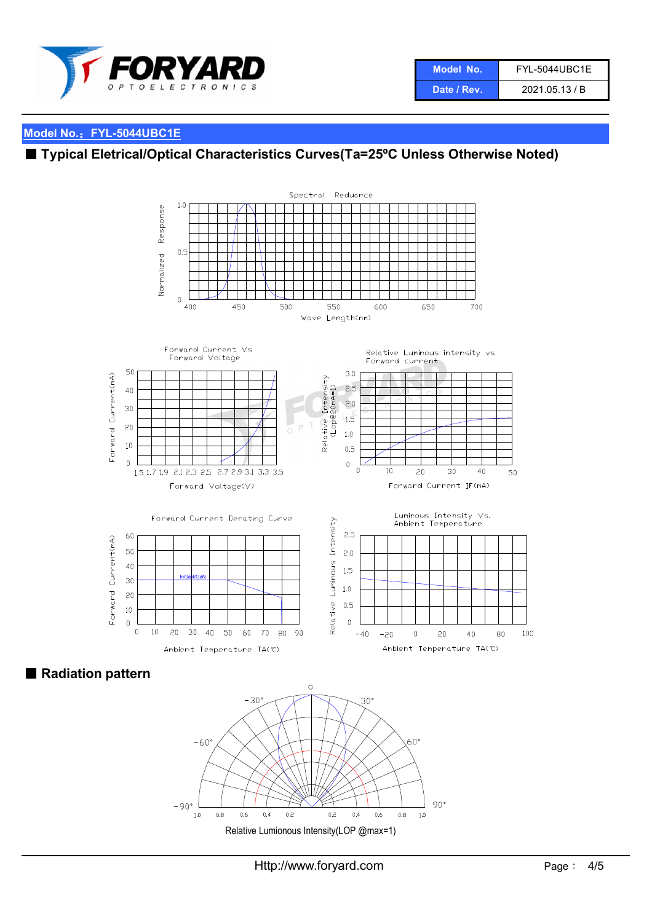

## ■ Typical Eletrical/Optical Characteristics Curves(Ta=25°C Unless Otherwise Noted)